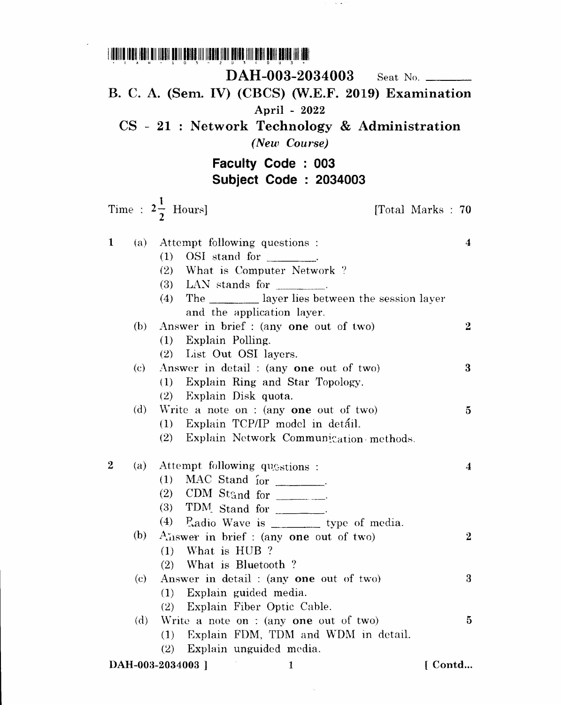1111111111111111111111111111111111111111111111111111111111111111111111111111111111111 • c ~ H - U 0 1 - 2 U \_, *t.* 0 U J •• DAH-003-2034003 Seat No. B. C. A. (Sem. IV) (CBCS) (W.E.F. 2019) Examination April - 2022 CS - 21 : Network Technology & Administration *(New Course)* **Faculty Code : 003 Subject Code: 2034003** Time :  $2\frac{1}{2}$  Hours [Total Marks : 70] 1 (a) Attempt following questions (1) OSI stand for \_ (2) What is Computer Network ?  $(3)$  LAN stands for  $\qquad \qquad$ (4) The layer lies between the session layer and the application layer. (b) Answer in brief: (any one out of two) (1) Explain Polling. (2) List Out OSI layers. (c) Answer in detail : (anyone out of two) (1) Explain Ring and Star Topology. (2) Explain Disk quota. (d) Write a note on : (anyone out of two) (1) Explain *TCP/IP* model in detail.  $(2)$  Explain Network Communication methods. 5 4 o... 3 2 (a) Attempt following quastions :  $(1)$  MAC Stand  $\int_{\text{or}}$ (2) CDM Stand for  $\frac{1}{\sqrt{2\pi}}$ (3) TDM. Stand for \_  $(4)$  Padio Wave is  $\frac{1}{2}$  type of media. (b)  $A_{\text{in}}$ wer in brief: (any one out of two) (1) What is HUB ? (2) vVhat is Bluetooth ? (c) Answer in detail : (anyone out of two) (1) Explain guided media. (2) Explain Fiber Optic Cable. (d) Write a note on : (any one out of two) 4 2 3 5

 $(1)$  Explain FDM, TDM and WDM in detail.

(2) Explain unguided media.